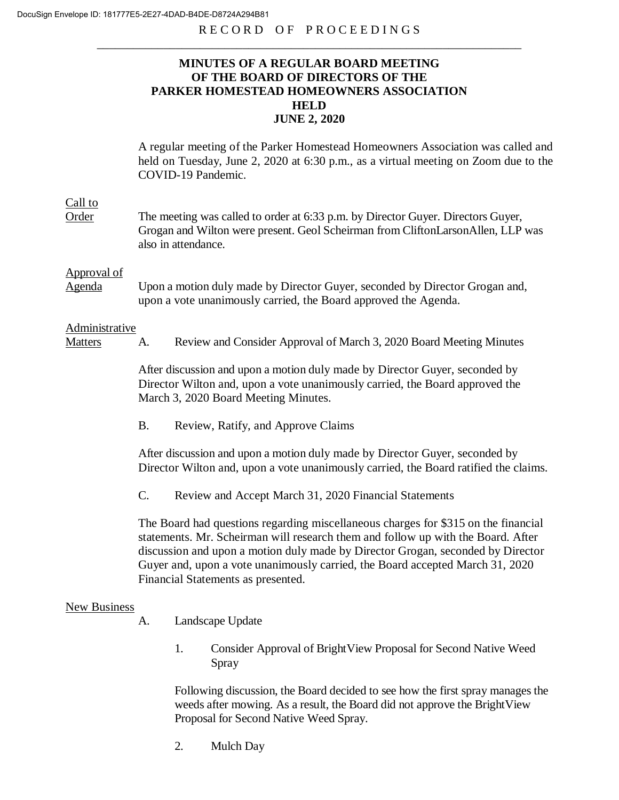# **MINUTES OF A REGULAR BOARD MEETING OF THE BOARD OF DIRECTORS OF THE PARKER HOMESTEAD HOMEOWNERS ASSOCIATION HELD JUNE 2, 2020**

A regular meeting of the Parker Homestead Homeowners Association was called and held on Tuesday, June 2, 2020 at 6:30 p.m., as a virtual meeting on Zoom due to the COVID-19 Pandemic.

## Call to

Order The meeting was called to order at 6:33 p.m. by Director Guyer. Directors Guyer, Grogan and Wilton were present. Geol Scheirman from CliftonLarsonAllen, LLP was also in attendance.

#### Approval of

Agenda Upon a motion duly made by Director Guyer, seconded by Director Grogan and, upon a vote unanimously carried, the Board approved the Agenda.

#### Administrative

Matters A. Review and Consider Approval of March 3, 2020 Board Meeting Minutes

After discussion and upon a motion duly made by Director Guyer, seconded by Director Wilton and, upon a vote unanimously carried, the Board approved the March 3, 2020 Board Meeting Minutes.

B. Review, Ratify, and Approve Claims

After discussion and upon a motion duly made by Director Guyer, seconded by Director Wilton and, upon a vote unanimously carried, the Board ratified the claims.

C. Review and Accept March 31, 2020 Financial Statements

The Board had questions regarding miscellaneous charges for \$315 on the financial statements. Mr. Scheirman will research them and follow up with the Board. After discussion and upon a motion duly made by Director Grogan, seconded by Director Guyer and, upon a vote unanimously carried, the Board accepted March 31, 2020 Financial Statements as presented.

### New Business

- A. Landscape Update
	- 1. Consider Approval of BrightView Proposal for Second Native Weed Spray

Following discussion, the Board decided to see how the first spray manages the weeds after mowing. As a result, the Board did not approve the BrightView Proposal for Second Native Weed Spray.

2. Mulch Day